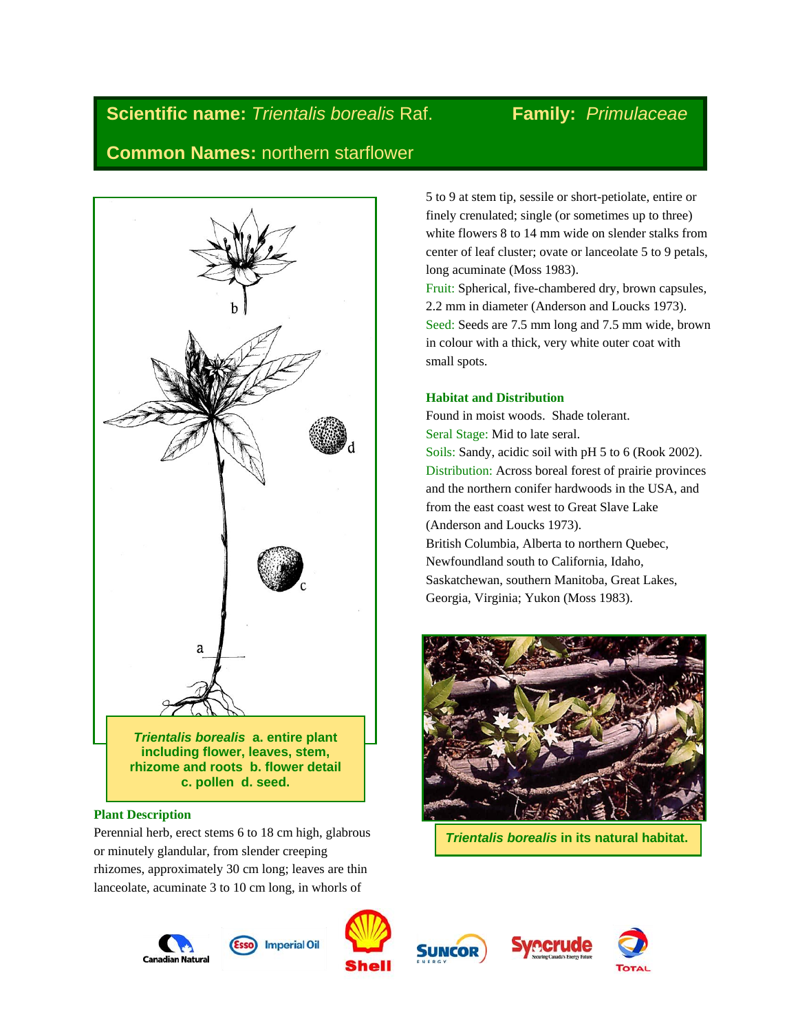# **Scientific name:** *Trientalis borealis* Raf. Family: *Primulaceae* **Common Names:** northern starflower

# a *Trientalis borealis* **a. entire plant including flower, leaves, stem, rhizome and roots b. flower detail c. pollen d. seed.**

# **Plant Description**

Perennial herb, erect stems 6 to 18 cm high, glabrous or minutely glandular, from slender creeping rhizomes, approximately 30 cm long; leaves are thin lanceolate, acuminate 3 to 10 cm long, in whorls of

5 to 9 at stem tip, sessile or short-petiolate, entire or finely crenulated; single (or sometimes up to three) white flowers 8 to 14 mm wide on slender stalks from center of leaf cluster; ovate or lanceolate 5 to 9 petals, long acuminate (Moss 1983).

Fruit: Spherical, five-chambered dry, brown capsules, 2.2 mm in diameter (Anderson and Loucks 1973). Seed: Seeds are 7.5 mm long and 7.5 mm wide, brown in colour with a thick, very white outer coat with small spots.

# **Habitat and Distribution**

Found in moist woods. Shade tolerant. Seral Stage: Mid to late seral. Soils: Sandy, acidic soil with pH 5 to 6 (Rook 2002). Distribution: Across boreal forest of prairie provinces and the northern conifer hardwoods in the USA, and from the east coast west to Great Slave Lake (Anderson and Loucks 1973). British Columbia, Alberta to northern Quebec, Newfoundland south to California, Idaho, Saskatchewan, southern Manitoba, Great Lakes, Georgia, Virginia; Yukon (Moss 1983).



*Trientalis borealis* **in its natural habitat.**









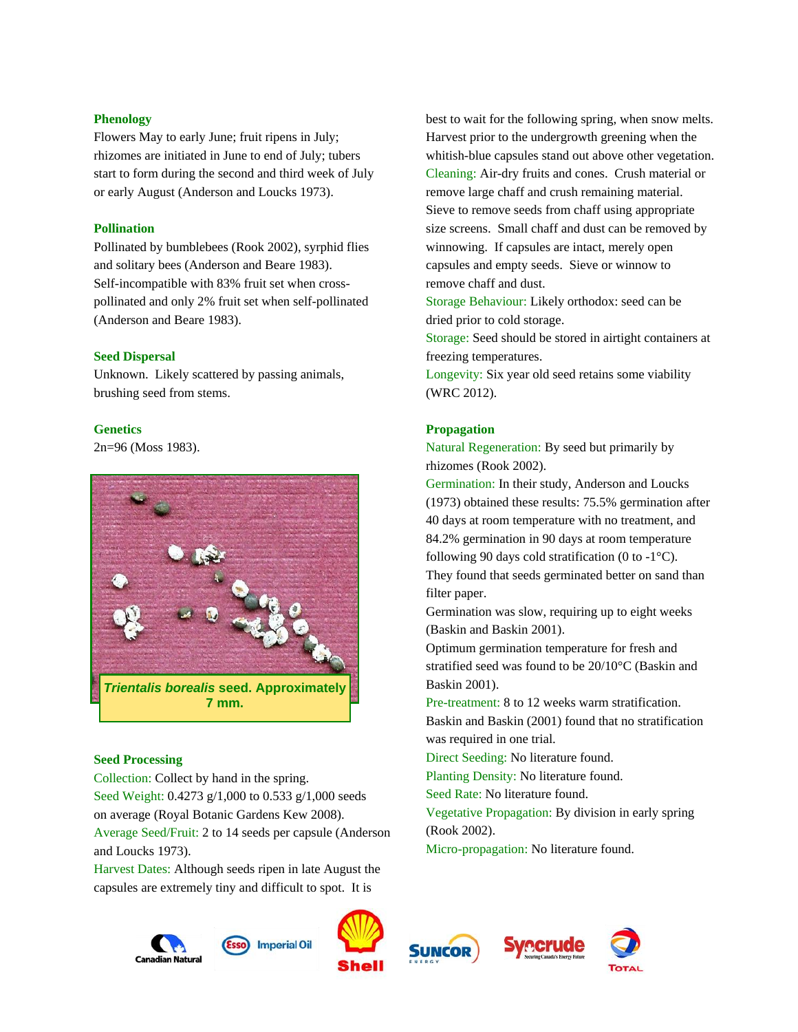# **Phenology**

Flowers May to early June; fruit ripens in July; rhizomes are initiated in June to end of July; tubers start to form during the second and third week of July or early August (Anderson and Loucks 1973).

# **Pollination**

Pollinated by bumblebees (Rook 2002), syrphid flies and solitary bees (Anderson and Beare 1983). Self-incompatible with 83% fruit set when crosspollinated and only 2% fruit set when self-pollinated (Anderson and Beare 1983).

#### **Seed Dispersal**

Unknown. Likely scattered by passing animals, brushing seed from stems.

#### **Genetics**

2n=96 (Moss 1983).



#### **Seed Processing**

Collection: Collect by hand in the spring. Seed Weight: 0.4273 g/1,000 to 0.533 g/1,000 seeds on average (Royal Botanic Gardens Kew 2008). Average Seed/Fruit: 2 to 14 seeds per capsule (Anderson and Loucks 1973).

Harvest Dates: Although seeds ripen in late August the capsules are extremely tiny and difficult to spot. It is

best to wait for the following spring, when snow melts. Harvest prior to the undergrowth greening when the whitish-blue capsules stand out above other vegetation. Cleaning: Air-dry fruits and cones. Crush material or remove large chaff and crush remaining material. Sieve to remove seeds from chaff using appropriate size screens. Small chaff and dust can be removed by winnowing. If capsules are intact, merely open capsules and empty seeds. Sieve or winnow to remove chaff and dust.

Storage Behaviour: Likely orthodox: seed can be dried prior to cold storage.

Storage: Seed should be stored in airtight containers at freezing temperatures.

Longevity: Six year old seed retains some viability (WRC 2012).

# **Propagation**

Natural Regeneration: By seed but primarily by rhizomes (Rook 2002).

Germination: In their study, Anderson and Loucks (1973) obtained these results: 75.5% germination after 40 days at room temperature with no treatment, and 84.2% germination in 90 days at room temperature following 90 days cold stratification (0 to  $-1^{\circ}$ C). They found that seeds germinated better on sand than filter paper.

Germination was slow, requiring up to eight weeks (Baskin and Baskin 2001).

Optimum germination temperature for fresh and stratified seed was found to be 20/10°C (Baskin and Baskin 2001).

Pre-treatment: 8 to 12 weeks warm stratification. Baskin and Baskin (2001) found that no stratification was required in one trial.

Direct Seeding: No literature found.

Planting Density: No literature found.

Seed Rate: No literature found.

Vegetative Propagation: By division in early spring (Rook 2002).

Micro-propagation: No literature found.